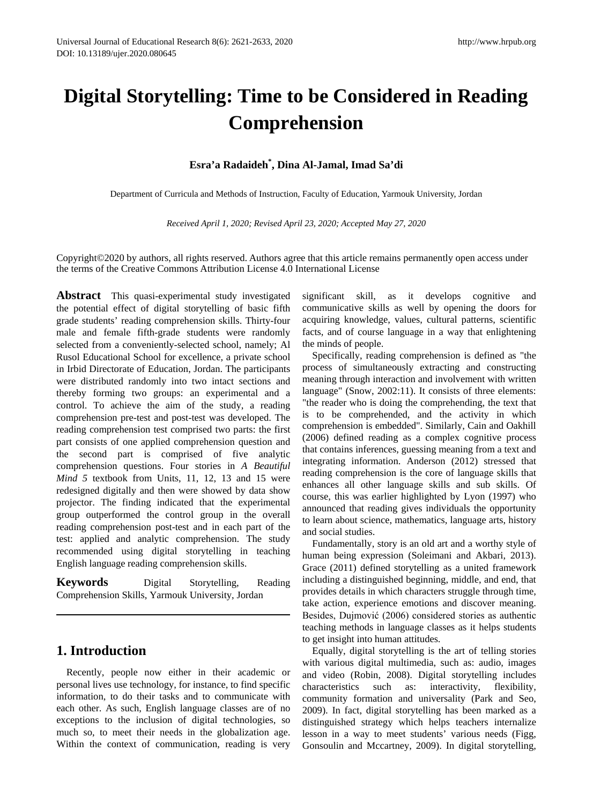# **Digital Storytelling: Time to be Considered in Reading Comprehension**

# **Esra'a Radaideh\* , Dina Al-Jamal, Imad Sa'di**

Department of Curricula and Methods of Instruction, Faculty of Education, Yarmouk University, Jordan

*Received April 1, 2020; Revised April 23, 2020; Accepted May 27, 2020*

Copyright©2020 by authors, all rights reserved. Authors agree that this article remains permanently open access under the terms of the Creative Commons Attribution License 4.0 International License

**Abstract** This quasi-experimental study investigated the potential effect of digital storytelling of basic fifth grade students' reading comprehension skills. Thirty-four male and female fifth-grade students were randomly selected from a conveniently-selected school, namely; Al Rusol Educational School for excellence, a private school in Irbid Directorate of Education, Jordan. The participants were distributed randomly into two intact sections and thereby forming two groups: an experimental and a control. To achieve the aim of the study, a reading comprehension pre-test and post-test was developed. The reading comprehension test comprised two parts: the first part consists of one applied comprehension question and the second part is comprised of five analytic comprehension questions. Four stories in *A Beautiful Mind 5* textbook from Units, 11, 12, 13 and 15 were redesigned digitally and then were showed by data show projector. The finding indicated that the experimental group outperformed the control group in the overall reading comprehension post-test and in each part of the test: applied and analytic comprehension. The study recommended using digital storytelling in teaching English language reading comprehension skills.

**Keywords** Digital Storytelling, Reading Comprehension Skills, Yarmouk University, Jordan

# **1. Introduction**

Recently, people now either in their academic or personal lives use technology, for instance, to find specific information, to do their tasks and to communicate with each other. As such, English language classes are of no exceptions to the inclusion of digital technologies, so much so, to meet their needs in the globalization age. Within the context of communication, reading is very significant skill, as it develops cognitive and communicative skills as well by opening the doors for acquiring knowledge, values, cultural patterns, scientific facts, and of course language in a way that enlightening the minds of people.

Specifically, reading comprehension is defined as "the process of simultaneously extracting and constructing meaning through interaction and involvement with written language" (Snow, 2002:11). It consists of three elements: "the reader who is doing the comprehending, the text that is to be comprehended, and the activity in which comprehension is embedded". Similarly, Cain and Oakhill (2006) defined reading as a complex cognitive process that contains inferences, guessing meaning from a text and integrating information. Anderson (2012) stressed that reading comprehension is the core of language skills that enhances all other language skills and sub skills. Of course, this was earlier highlighted by Lyon (1997) who announced that reading gives individuals the opportunity to learn about science, mathematics, language arts, history and social studies.

Fundamentally, story is an old art and a worthy style of human being expression (Soleimani and Akbari, 2013). Grace (2011) defined storytelling as a united framework including a distinguished beginning, middle, and end, that provides details in which characters struggle through time, take action, experience emotions and discover meaning. Besides, Dujmović (2006) considered stories as authentic teaching methods in language classes as it helps students to get insight into human attitudes.

Equally, digital storytelling is the art of telling stories with various digital multimedia, such as: audio, images and video (Robin, 2008). Digital storytelling includes characteristics such as: interactivity, flexibility, community formation and universality (Park and Seo, 2009). In fact, digital storytelling has been marked as a distinguished strategy which helps teachers internalize lesson in a way to meet students' various needs (Figg, Gonsoulin and Mccartney, 2009). In digital storytelling,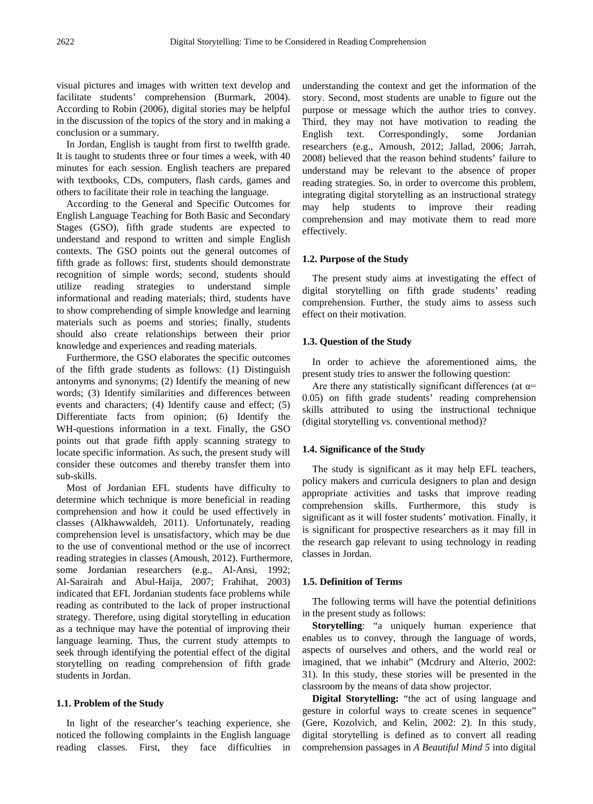visual pictures and images with written text develop and facilitate students' comprehension (Burmark, 2004). According to Robin (2006), digital stories may be helpful in the discussion of the topics of the story and in making a conclusion or a summary.

In Jordan, English is taught from first to twelfth grade. It is taught to students three or four times a week, with 40 minutes for each session. English teachers are prepared with textbooks, CDs, computers, flash cards, games and others to facilitate their role in teaching the language.

According to the General and Specific Outcomes for English Language Teaching for Both Basic and Secondary Stages (GSO), fifth grade students are expected to understand and respond to written and simple English contexts. The GSO points out the general outcomes of fifth grade as follows: first, students should demonstrate recognition of simple words; second, students should utilize reading strategies to understand simple informational and reading materials; third, students have to show comprehending of simple knowledge and learning materials such as poems and stories; finally, students should also create relationships between their prior knowledge and experiences and reading materials.

Furthermore, the GSO elaborates the specific outcomes of the fifth grade students as follows: (1) Distinguish antonyms and synonyms; (2) Identify the meaning of new words; (3) Identify similarities and differences between events and characters; (4) Identify cause and effect; (5) Differentiate facts from opinion; (6) Identify the WH-questions information in a text. Finally, the GSO points out that grade fifth apply scanning strategy to locate specific information. As such, the present study will consider these outcomes and thereby transfer them into sub-skills.

Most of Jordanian EFL students have difficulty to determine which technique is more beneficial in reading comprehension and how it could be used effectively in classes (Alkhawwaldeh, 2011). Unfortunately, reading comprehension level is unsatisfactory, which may be due to the use of conventional method or the use of incorrect reading strategies in classes (Amoush, 2012). Furthermore, some Jordanian researchers (e.g., Al-Ansi, 1992; Al-Sarairah and Abul-Haija, 2007; Frahihat, 2003) indicated that EFL Jordanian students face problems while reading as contributed to the lack of proper instructional strategy. Therefore, using digital storytelling in education as a technique may have the potential of improving their language learning. Thus, the current study attempts to seek through identifying the potential effect of the digital storytelling on reading comprehension of fifth grade students in Jordan.

# **1.1. Problem of the Study**

In light of the researcher's teaching experience, she noticed the following complaints in the English language reading classes. First, they face difficulties in

understanding the context and get the information of the story. Second, most students are unable to figure out the purpose or message which the author tries to convey. Third, they may not have motivation to reading the English text. Correspondingly, some Jordanian researchers (e.g., Amoush, 2012; Jallad, 2006; Jarrah, 2008) believed that the reason behind students' failure to understand may be relevant to the absence of proper reading strategies. So, in order to overcome this problem, integrating digital storytelling as an instructional strategy may help students to improve their reading comprehension and may motivate them to read more effectively.

#### **1.2. Purpose of the Study**

The present study aims at investigating the effect of digital storytelling on fifth grade students' reading comprehension. Further, the study aims to assess such effect on their motivation.

## **1.3. Question of the Study**

In order to achieve the aforementioned aims, the present study tries to answer the following question:

Are there any statistically significant differences (at  $\alpha$ = 0.05) on fifth grade students' reading comprehension skills attributed to using the instructional technique (digital storytelling vs. conventional method)?

#### **1.4. Significance of the Study**

The study is significant as it may help EFL teachers, policy makers and curricula designers to plan and design appropriate activities and tasks that improve reading comprehension skills. Furthermore, this study is significant as it will foster students' motivation. Finally, it is significant for prospective researchers as it may fill in the research gap relevant to using technology in reading classes in Jordan.

#### **1.5. Definition of Terms**

The following terms will have the potential definitions in the present study as follows:

**Storytelling**: "a uniquely human experience that enables us to convey, through the language of words, aspects of ourselves and others, and the world real or imagined, that we inhabit" (Mcdrury and Alterio, 2002: 31). In this study, these stories will be presented in the classroom by the means of data show projector.

**Digital Storytelling:** "the act of using language and gesture in colorful ways to create scenes in sequence" (Gere, Kozolvich, and Kelin, 2002: 2). In this study, digital storytelling is defined as to convert all reading comprehension passages in *A Beautiful Mind 5* into digital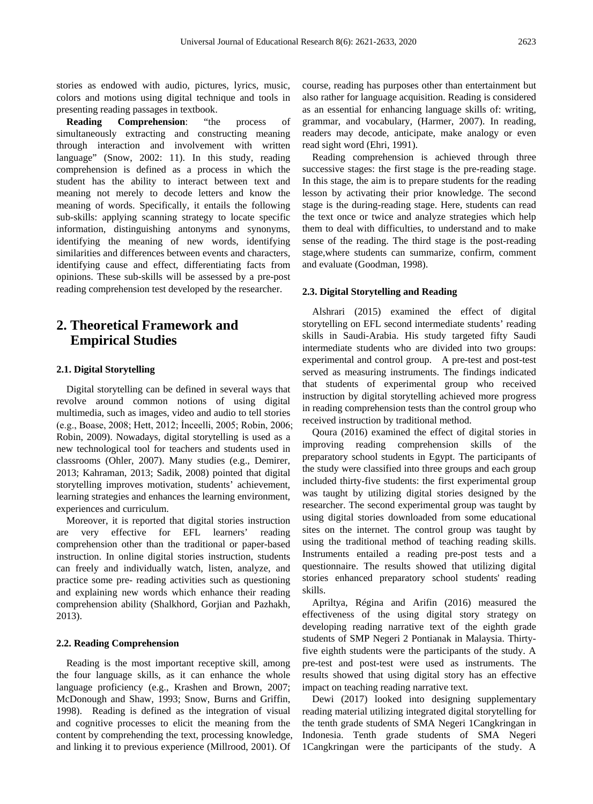stories as endowed with audio, pictures, lyrics, music, colors and motions using digital technique and tools in presenting reading passages in textbook.

**Reading Comprehension**: "the process of simultaneously extracting and constructing meaning through interaction and involvement with written language" (Snow, 2002: 11). In this study, reading comprehension is defined as a process in which the student has the ability to interact between text and meaning not merely to decode letters and know the meaning of words. Specifically, it entails the following sub-skills: applying scanning strategy to locate specific information, distinguishing antonyms and synonyms, identifying the meaning of new words, identifying similarities and differences between events and characters, identifying cause and effect, differentiating facts from opinions. These sub-skills will be assessed by a pre-post reading comprehension test developed by the researcher.

# **2. Theoretical Framework and Empirical Studies**

## **2.1. Digital Storytelling**

Digital storytelling can be defined in several ways that revolve around common notions of using digital multimedia, such as images, video and audio to tell stories (e.g., Boase, 2008; Hett, 2012; İnceelli, 2005; Robin, 2006; Robin, 2009). Nowadays, digital storytelling is used as a new technological tool for teachers and students used in classrooms (Ohler, 2007). Many studies (e.g., Demirer, 2013; Kahraman, 2013; Sadik, 2008) pointed that digital storytelling improves motivation, students' achievement, learning strategies and enhances the learning environment, experiences and curriculum.

Moreover, it is reported that digital stories instruction are very effective for EFL learners' reading comprehension other than the traditional or paper-based instruction. In online digital stories instruction, students can freely and individually watch, listen, analyze, and practice some pre- reading activities such as questioning and explaining new words which enhance their reading comprehension ability (Shalkhord, Gorjian and Pazhakh, 2013).

## **2.2. Reading Comprehension**

Reading is the most important receptive skill, among the four language skills, as it can enhance the whole language proficiency (e.g., Krashen and Brown, 2007; McDonough and Shaw, 1993; Snow, Burns and Griffin, 1998). Reading is defined as the integration of visual and cognitive processes to elicit the meaning from the content by comprehending the text, processing knowledge, and linking it to previous experience (Millrood, 2001). Of

course, reading has purposes other than entertainment but also rather for language acquisition. Reading is considered as an essential for enhancing language skills of: writing, grammar, and vocabulary, (Harmer, 2007). In reading, readers may decode, anticipate, make analogy or even read sight word (Ehri, 1991).

Reading comprehension is achieved through three successive stages: the first stage is the pre-reading stage. In this stage, the aim is to prepare students for the reading lesson by activating their prior knowledge. The second stage is the during-reading stage. Here, students can read the text once or twice and analyze strategies which help them to deal with difficulties, to understand and to make sense of the reading. The third stage is the post-reading stage,where students can summarize, confirm, comment and evaluate (Goodman, 1998).

#### **2.3. Digital Storytelling and Reading**

Alshrari (2015) examined the effect of digital storytelling on EFL second intermediate students' reading skills in Saudi-Arabia. His study targeted fifty Saudi intermediate students who are divided into two groups: experimental and control group. A pre-test and post-test served as measuring instruments. The findings indicated that students of experimental group who received instruction by digital storytelling achieved more progress in reading comprehension tests than the control group who received instruction by traditional method.

Qoura (2016) examined the effect of digital stories in improving reading comprehension skills of the preparatory school students in Egypt. The participants of the study were classified into three groups and each group included thirty-five students: the first experimental group was taught by utilizing digital stories designed by the researcher. The second experimental group was taught by using digital stories downloaded from some educational sites on the internet. The control group was taught by using the traditional method of teaching reading skills. Instruments entailed a reading pre-post tests and a questionnaire. The results showed that utilizing digital stories enhanced preparatory school students' reading skills.

Apriltya, Régina and Arifin (2016) measured the effectiveness of the using digital story strategy on developing reading narrative text of the eighth grade students of SMP Negeri 2 Pontianak in Malaysia. Thirtyfive eighth students were the participants of the study. A pre-test and post-test were used as instruments. The results showed that using digital story has an effective impact on teaching reading narrative text.

Dewi (2017) looked into designing supplementary reading material utilizing integrated digital storytelling for the tenth grade students of SMA Negeri 1Cangkringan in Indonesia. Tenth grade students of SMA Negeri 1Cangkringan were the participants of the study. A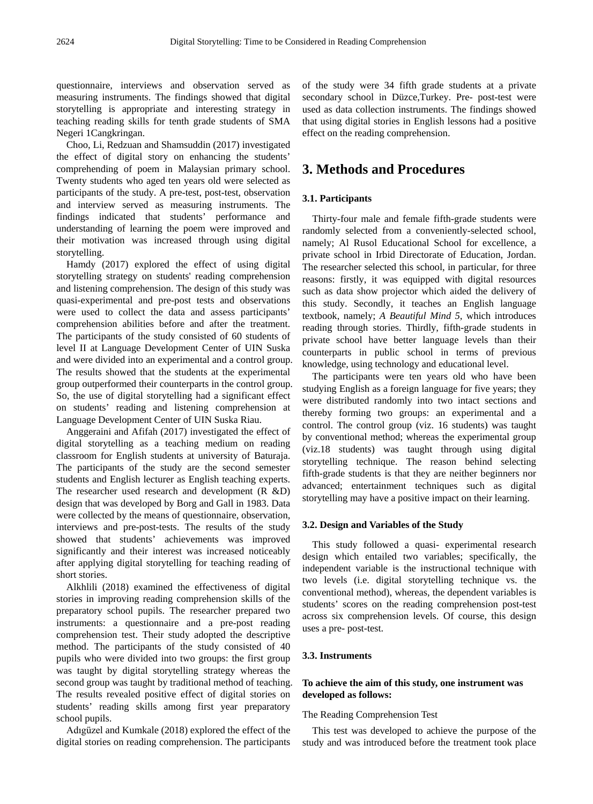questionnaire, interviews and observation served as measuring instruments. The findings showed that digital storytelling is appropriate and interesting strategy in teaching reading skills for tenth grade students of SMA Negeri 1Cangkringan.

Choo, Li, Redzuan and Shamsuddin (2017) investigated the effect of digital story on enhancing the students' comprehending of poem in Malaysian primary school. Twenty students who aged ten years old were selected as participants of the study. A pre-test, post-test, observation and interview served as measuring instruments. The findings indicated that students' performance and understanding of learning the poem were improved and their motivation was increased through using digital storytelling.

Hamdy (2017) explored the effect of using digital storytelling strategy on students' reading comprehension and listening comprehension. The design of this study was quasi-experimental and pre-post tests and observations were used to collect the data and assess participants' comprehension abilities before and after the treatment. The participants of the study consisted of 60 students of level II at Language Development Center of UIN Suska and were divided into an experimental and a control group. The results showed that the students at the experimental group outperformed their counterparts in the control group. So, the use of digital storytelling had a significant effect on students' reading and listening comprehension at Language Development Center of UIN Suska Riau.

Anggeraini and Afifah (2017) investigated the effect of digital storytelling as a teaching medium on reading classroom for English students at university of Baturaja. The participants of the study are the second semester students and English lecturer as English teaching experts. The researcher used research and development (R &D) design that was developed by Borg and Gall in 1983. Data were collected by the means of questionnaire, observation, interviews and pre-post-tests. The results of the study showed that students' achievements was improved significantly and their interest was increased noticeably after applying digital storytelling for teaching reading of short stories.

Alkhlili (2018) examined the effectiveness of digital stories in improving reading comprehension skills of the preparatory school pupils. The researcher prepared two instruments: a questionnaire and a pre-post reading comprehension test. Their study adopted the descriptive method. The participants of the study consisted of 40 pupils who were divided into two groups: the first group was taught by digital storytelling strategy whereas the second group was taught by traditional method of teaching. The results revealed positive effect of digital stories on students' reading skills among first year preparatory school pupils.

Adıgüzel and Kumkale (2018) explored the effect of the digital stories on reading comprehension. The participants

of the study were 34 fifth grade students at a private secondary school in Düzce,Turkey. Pre- post-test were used as data collection instruments. The findings showed that using digital stories in English lessons had a positive effect on the reading comprehension.

# **3. Methods and Procedures**

## **3.1. Participants**

Thirty-four male and female fifth-grade students were randomly selected from a conveniently-selected school, namely; Al Rusol Educational School for excellence, a private school in Irbid Directorate of Education, Jordan. The researcher selected this school, in particular, for three reasons: firstly, it was equipped with digital resources such as data show projector which aided the delivery of this study. Secondly, it teaches an English language textbook, namely; *A Beautiful Mind 5*, which introduces reading through stories. Thirdly, fifth-grade students in private school have better language levels than their counterparts in public school in terms of previous knowledge, using technology and educational level.

The participants were ten years old who have been studying English as a foreign language for five years; they were distributed randomly into two intact sections and thereby forming two groups: an experimental and a control. The control group (viz. 16 students) was taught by conventional method; whereas the experimental group (viz.18 students) was taught through using digital storytelling technique. The reason behind selecting fifth-grade students is that they are neither beginners nor advanced; entertainment techniques such as digital storytelling may have a positive impact on their learning.

#### **3.2. Design and Variables of the Study**

This study followed a quasi- experimental research design which entailed two variables; specifically, the independent variable is the instructional technique with two levels (i.e. digital storytelling technique vs. the conventional method), whereas, the dependent variables is students' scores on the reading comprehension post-test across six comprehension levels. Of course, this design uses a pre- post-test.

#### **3.3. Instruments**

# **To achieve the aim of this study, one instrument was developed as follows:**

#### The Reading Comprehension Test

This test was developed to achieve the purpose of the study and was introduced before the treatment took place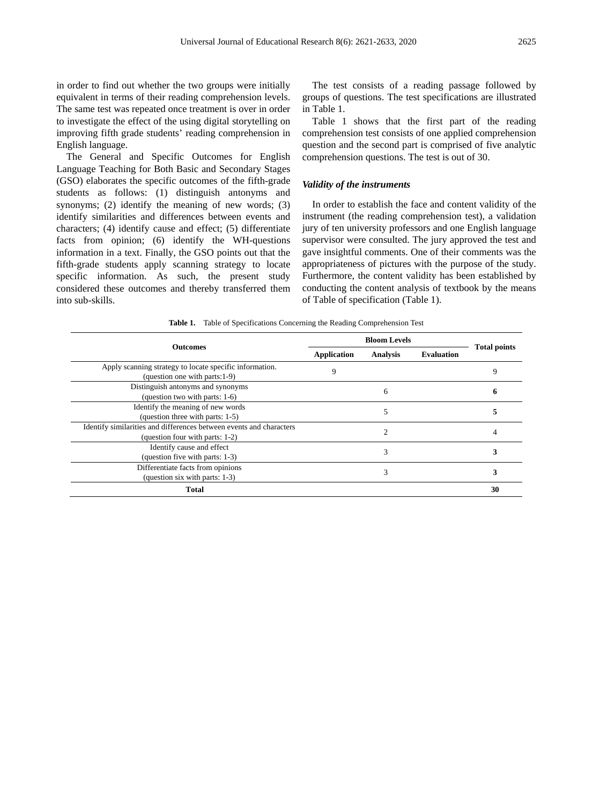in order to find out whether the two groups were initially equivalent in terms of their reading comprehension levels. The same test was repeated once treatment is over in order to investigate the effect of the using digital storytelling on improving fifth grade students' reading comprehension in English language.

The General and Specific Outcomes for English Language Teaching for Both Basic and Secondary Stages (GSO) elaborates the specific outcomes of the fifth-grade students as follows: (1) distinguish antonyms and synonyms; (2) identify the meaning of new words; (3) identify similarities and differences between events and characters; (4) identify cause and effect; (5) differentiate facts from opinion; (6) identify the WH-questions information in a text. Finally, the GSO points out that the fifth-grade students apply scanning strategy to locate specific information. As such, the present study considered these outcomes and thereby transferred them into sub-skills.

The test consists of a reading passage followed by groups of questions. The test specifications are illustrated in Table 1.

Table 1 shows that the first part of the reading comprehension test consists of one applied comprehension question and the second part is comprised of five analytic comprehension questions. The test is out of 30.

## *Validity of the instruments*

In order to establish the face and content validity of the instrument (the reading comprehension test), a validation jury of ten university professors and one English language supervisor were consulted. The jury approved the test and gave insightful comments. One of their comments was the appropriateness of pictures with the purpose of the study. Furthermore, the content validity has been established by conducting the content analysis of textbook by the means of Table of specification (Table 1).

|  | Table 1. Table of Specifications Concerning the Reading Comprehension Test |  |  |  |  |
|--|----------------------------------------------------------------------------|--|--|--|--|
|--|----------------------------------------------------------------------------|--|--|--|--|

|                                                                     | <b>Bloom Levels</b> |                 |                   |                     |
|---------------------------------------------------------------------|---------------------|-----------------|-------------------|---------------------|
| <b>Outcomes</b>                                                     | <b>Application</b>  | <b>Analysis</b> | <b>Evaluation</b> | <b>Total points</b> |
| Apply scanning strategy to locate specific information.             | 9                   |                 |                   | 9                   |
| (question one with parts: 1-9)                                      |                     |                 |                   |                     |
| Distinguish antonyms and synonyms                                   | 6                   |                 |                   | o                   |
| (question two with parts: 1-6)                                      |                     |                 |                   |                     |
| Identify the meaning of new words                                   |                     |                 |                   |                     |
| (question three with parts: 1-5)                                    |                     |                 |                   |                     |
| Identify similarities and differences between events and characters | $\overline{c}$      |                 |                   |                     |
| (question four with parts: 1-2)                                     |                     |                 |                   |                     |
| Identify cause and effect                                           |                     | 3               |                   |                     |
| (question five with parts: 1-3)                                     |                     |                 |                   |                     |
| Differentiate facts from opinions                                   |                     |                 | 3                 |                     |
| (question six with parts: $1-3$ )                                   |                     | 3               |                   |                     |
| Total                                                               |                     |                 |                   | 30                  |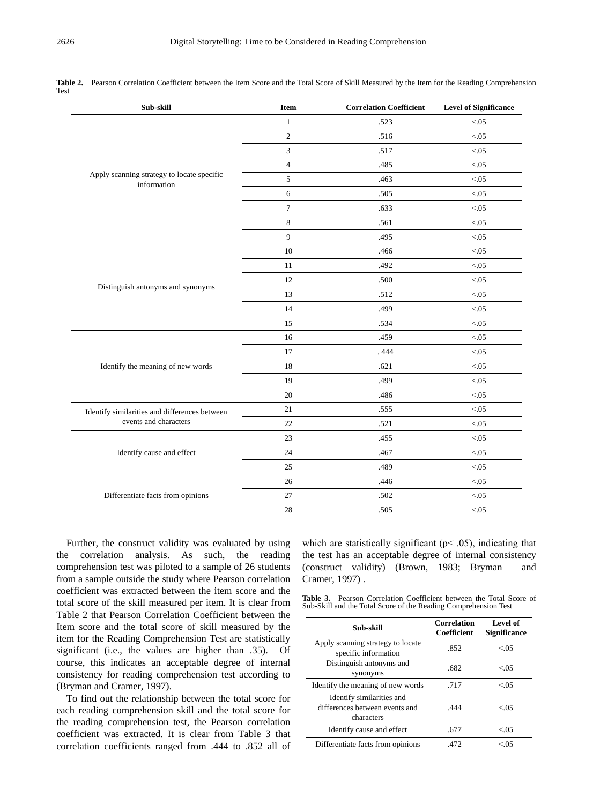| Sub-skill                                                 | <b>Item</b>      | <b>Correlation Coefficient</b> | <b>Level of Significance</b> |
|-----------------------------------------------------------|------------------|--------------------------------|------------------------------|
|                                                           | $\mathbf{1}$     | .523                           | < 0.05                       |
|                                                           | $\sqrt{2}$       | .516                           | < 0.05                       |
|                                                           | 3                | .517                           | < 0.05                       |
|                                                           | $\overline{4}$   | .485                           | < 0.05                       |
| Apply scanning strategy to locate specific<br>information | $\sqrt{5}$       | .463                           | < 0.05                       |
|                                                           | 6                | .505                           | < 0.05                       |
|                                                           | $\boldsymbol{7}$ | .633                           | < 0.05                       |
|                                                           | $\,8\,$          | .561                           | < 0.05                       |
|                                                           | 9                | .495                           | < 0.05                       |
|                                                           | $10\,$           | .466                           | < 0.05                       |
|                                                           | 11               | .492                           | < 0.05                       |
|                                                           | 12               | .500                           | < 0.05                       |
| Distinguish antonyms and synonyms                         | 13               | .512                           | < 0.05                       |
|                                                           | 14               | .499                           | < 0.05                       |
|                                                           | 15               | .534                           | < 0.05                       |
|                                                           | 16               | .459                           | < 0.05                       |
|                                                           | 17               | .444                           | < 0.05                       |
| Identify the meaning of new words                         | 18               | .621                           | < 0.05                       |
|                                                           | 19               | .499                           | < 0.05                       |
|                                                           | 20               | .486                           | < 0.05                       |
| Identify similarities and differences between             | 21               | .555                           | < 0.05                       |
| events and characters                                     | 22               | .521                           | < 0.05                       |
|                                                           | 23               | .455                           | < 0.05                       |
| Identify cause and effect                                 | 24               | .467                           | < 0.05                       |
|                                                           | 25               | .489                           | < 0.05                       |
|                                                           | $26\,$           | .446                           | < 0.05                       |
| Differentiate facts from opinions                         | $27\,$           | .502                           | < 0.05                       |
|                                                           | 28               | .505                           | < 0.05                       |

Table 2. Pearson Correlation Coefficient between the Item Score and the Total Score of Skill Measured by the Item for the Reading Comprehension Test

Further, the construct validity was evaluated by using the correlation analysis. As such, the reading comprehension test was piloted to a sample of 26 students from a sample outside the study where Pearson correlation coefficient was extracted between the item score and the total score of the skill measured per item. It is clear from Table 2 that Pearson Correlation Coefficient between the Item score and the total score of skill measured by the item for the Reading Comprehension Test are statistically significant (i.e., the values are higher than .35). Of course, this indicates an acceptable degree of internal consistency for reading comprehension test according to (Bryman and Cramer, 1997).

To find out the relationship between the total score for each reading comprehension skill and the total score for the reading comprehension test, the Pearson correlation coefficient was extracted. It is clear from Table 3 that correlation coefficients ranged from .444 to .852 all of

which are statistically significant ( $p<$  .05), indicating that the test has an acceptable degree of internal consistency (construct validity) (Brown, 1983; Bryman and Cramer, 1997) .

**Table 3.** Pearson Correlation Coefficient between the Total Score of Sub-Skill and the Total Score of the Reading Comprehension Test

| Sub-skill                                                                 | <b>Correlation</b><br><b>Coefficient</b> | Level of<br><b>Significance</b> |
|---------------------------------------------------------------------------|------------------------------------------|---------------------------------|
| Apply scanning strategy to locate<br>specific information                 | 852                                      | < 0.05                          |
| Distinguish antonyms and<br>synonyms                                      | .682                                     | < 0.05                          |
| Identify the meaning of new words                                         | .717                                     | < 0.05                          |
| Identify similarities and<br>differences between events and<br>characters | 444                                      | < 05                            |
| Identify cause and effect                                                 | .677                                     | < 0.05                          |
| Differentiate facts from opinions                                         | 472                                      | < 05                            |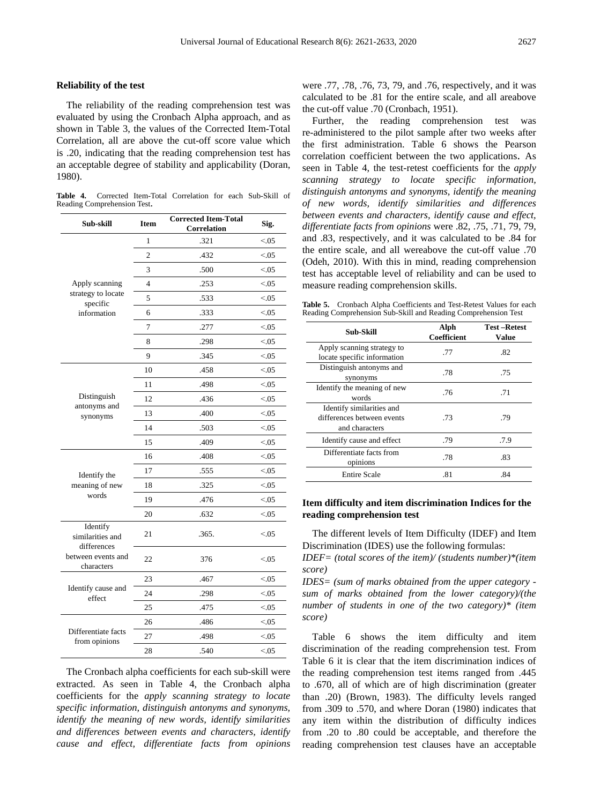## **Reliability of the test**

The reliability of the reading comprehension test was evaluated by using the Cronbach Alpha approach, and as shown in Table 3, the values of the Corrected Item-Total Correlation, all are above the cut-off score value which is .20, indicating that the reading comprehension test has an acceptable degree of stability and applicability (Doran, 1980).

**Table 4.** Corrected Item-Total Correlation for each Sub-Skill of Reading Comprehension Test.

| Sub-skill                                   | <b>Item</b>    | <b>Corrected Item-Total</b><br>Correlation | Sig.   |
|---------------------------------------------|----------------|--------------------------------------------|--------|
|                                             | 1              | .321                                       | < 0.05 |
|                                             | $\overline{c}$ | .432                                       | < 0.05 |
|                                             | 3              | .500                                       | < 0.05 |
| Apply scanning                              | $\overline{4}$ | .253                                       | < 0.05 |
| strategy to locate<br>specific              | 5              | .533                                       | < 0.05 |
| information                                 | 6              | .333                                       | < 0.05 |
|                                             | 7              | .277                                       | < 0.05 |
|                                             | 8              | .298                                       | < 0.05 |
|                                             | 9              | .345                                       | < 0.05 |
|                                             | 10             | .458                                       | < 0.05 |
|                                             | 11             | .498                                       | < 0.05 |
| Distinguish                                 | 12             | .436                                       | < 0.05 |
| antonyms and<br>synonyms                    | 13             | .400                                       | < 0.05 |
|                                             | 14             | .503                                       | < 0.05 |
|                                             | 15             | .409                                       | < 0.05 |
|                                             | 16             | .408                                       | < 0.05 |
| Identify the                                | 17             | .555                                       | < 0.05 |
| meaning of new                              | 18             | .325                                       | < 0.05 |
| words                                       | 19             | .476                                       | < 0.05 |
|                                             | 20             | .632                                       | < 0.05 |
| Identify<br>similarities and<br>differences | 21             | .365.                                      | < 0.05 |
| between events and<br>characters            | 22             | 376                                        | < 0.05 |
|                                             | 23             | .467                                       | < 0.05 |
| Identify cause and<br>effect                | 24             | .298                                       | < 0.05 |
|                                             | 25             | .475                                       | < 0.05 |
|                                             | 26             | .486                                       | < 0.05 |
| Differentiate facts<br>from opinions        | 27             | .498                                       | < 0.05 |
|                                             | 28             | .540                                       | < 0.05 |

The Cronbach alpha coefficients for each sub-skill were extracted. As seen in Table 4, the Cronbach alpha coefficients for the *apply scanning strategy to locate specific information, distinguish antonyms and synonyms, identify the meaning of new words, identify similarities and differences between events and characters, identify cause and effect, differentiate facts from opinions* 

were .77, .78, .76, 73, 79, and .76, respectively, and it was calculated to be .81 for the entire scale, and all areabove the cut-off value .70 (Cronbach, 1951).

Further, the reading comprehension test was re-administered to the pilot sample after two weeks after the first administration. Table 6 shows the Pearson correlation coefficient between the two applications. As seen in Table 4, the test-retest coefficients for the *apply scanning strategy to locate specific information, distinguish antonyms and synonyms, identify the meaning of new words, identify similarities and differences between events and characters, identify cause and effect, differentiate facts from opinions* were .82, .75, .71, 79, 79, and .83, respectively, and it was calculated to be .84 for the entire scale, and all wereabove the cut-off value .70 (Odeh, 2010). With this in mind, reading comprehension test has acceptable level of reliability and can be used to measure reading comprehension skills.

**Table 5.** Cronbach Alpha Coefficients and Test-Retest Values for each Reading Comprehension Sub-Skill and Reading Comprehension Test

| Sub-Skill                                                                 | Alph<br><b>Coefficient</b> | <b>Test-Retest</b><br>Value |
|---------------------------------------------------------------------------|----------------------------|-----------------------------|
| Apply scanning strategy to<br>locate specific information                 | .77                        | .82                         |
| Distinguish antonyms and<br>synonyms                                      | -78                        | .75                         |
| Identify the meaning of new<br>words                                      | .76                        | .71                         |
| Identify similarities and<br>differences between events<br>and characters | .73                        | .79                         |
| Identify cause and effect                                                 | .79                        | .7.9                        |
| Differentiate facts from<br>opinions                                      | .78                        | .83                         |
| <b>Entire Scale</b>                                                       | .81                        | .84                         |

## **Item difficulty and item discrimination Indices for the reading comprehension test**

The different levels of Item Difficulty (IDEF) and Item Discrimination (IDES) use the following formulas:

*IDEF= (total scores of the item)/ (students number)\*(item score)*

*IDES= (sum of marks obtained from the upper category sum of marks obtained from the lower category)/(the number of students in one of the two category)\* (item score)*

Table 6 shows the item difficulty and item discrimination of the reading comprehension test. From Table 6 it is clear that the item discrimination indices of the reading comprehension test items ranged from .445 to .670, all of which are of high discrimination (greater than .20) (Brown, 1983). The difficulty levels ranged from .309 to .570, and where Doran (1980) indicates that any item within the distribution of difficulty indices from .20 to .80 could be acceptable, and therefore the reading comprehension test clauses have an acceptable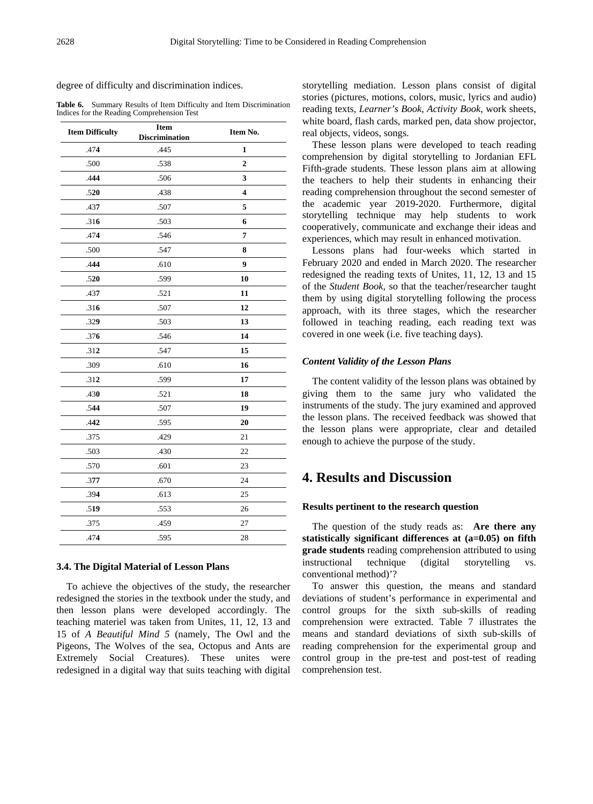degree of difficulty and discrimination indices.

**Table 6.** Summary Results of Item Difficulty and Item Discrimination Indices for the Reading Comprehension Test

| <b>Item Difficulty</b> | <b>Item</b><br><b>Discrimination</b> | Item No.                |
|------------------------|--------------------------------------|-------------------------|
| .474                   | .445                                 | 1                       |
| .500                   | .538                                 | $\overline{2}$          |
| .444                   | .506                                 | 3                       |
| .520                   | .438                                 | $\overline{\mathbf{4}}$ |
| .437                   | .507                                 | 5                       |
| .316                   | .503                                 | 6                       |
| .474                   | .546                                 | 7                       |
| .500                   | .547                                 | 8                       |
| .444                   | .610                                 | 9                       |
| .520                   | .599                                 | 10                      |
| .437                   | .521                                 | 11                      |
| .316                   | .507                                 | 12                      |
| .329                   | .503                                 | 13                      |
| .376                   | .546                                 | 14                      |
| .312                   | .547                                 | 15                      |
| .309                   | .610                                 | 16                      |
| .312                   | .599                                 | 17                      |
| .430                   | .521                                 | 18                      |
| .544                   | .507                                 | 19                      |
| .442                   | .595                                 | 20                      |
| .375                   | .429                                 | 21                      |
| .503                   | .430                                 | 22                      |
| .570                   | .601                                 | 23                      |
| .377                   | .670                                 | 24                      |
| .394                   | .613                                 | 25                      |
| .519                   | .553                                 | 26                      |
| .375                   | .459                                 | 27                      |
| .474                   | .595                                 | 28                      |

## **3.4. The Digital Material of Lesson Plans**

To achieve the objectives of the study, the researcher redesigned the stories in the textbook under the study, and then lesson plans were developed accordingly. The teaching materiel was taken from Unites, 11, 12, 13 and 15 of *A Beautiful Mind 5* (namely, The Owl and the Pigeons, The Wolves of the sea, Octopus and Ants are Extremely Social Creatures). These unites were redesigned in a digital way that suits teaching with digital

storytelling mediation. Lesson plans consist of digital stories (pictures, motions, colors, music, lyrics and audio) reading texts, *Learner's Book, Activity Book*, work sheets, white board, flash cards, marked pen, data show projector, real objects, videos, songs.

These lesson plans were developed to teach reading comprehension by digital storytelling to Jordanian EFL Fifth-grade students. These lesson plans aim at allowing the teachers to help their students in enhancing their reading comprehension throughout the second semester of the academic year 2019-2020. Furthermore, digital storytelling technique may help students to work cooperatively, communicate and exchange their ideas and experiences, which may result in enhanced motivation.

Lessons plans had four-weeks which started in February 2020 and ended in March 2020. The researcher redesigned the reading texts of Unites, 11, 12, 13 and 15 of the *Student Book,* so that the teacher/researcher taught them by using digital storytelling following the process approach, with its three stages, which the researcher followed in teaching reading, each reading text was covered in one week (i.e. five teaching days).

#### *Content Validity of the Lesson Plans*

The content validity of the lesson plans was obtained by giving them to the same jury who validated the instruments of the study. The jury examined and approved the lesson plans. The received feedback was showed that the lesson plans were appropriate, clear and detailed enough to achieve the purpose of the study.

# **4. Results and Discussion**

#### **Results pertinent to the research question**

The question of the study reads as: **Are there any statistically significant differences at (a=0.05) on fifth grade students** reading comprehension attributed to using instructional technique (digital storytelling vs. conventional method)'?

To answer this question, the means and standard deviations of student's performance in experimental and control groups for the sixth sub-skills of reading comprehension were extracted. Table 7 illustrates the means and standard deviations of sixth sub-skills of reading comprehension for the experimental group and control group in the pre-test and post-test of reading comprehension test.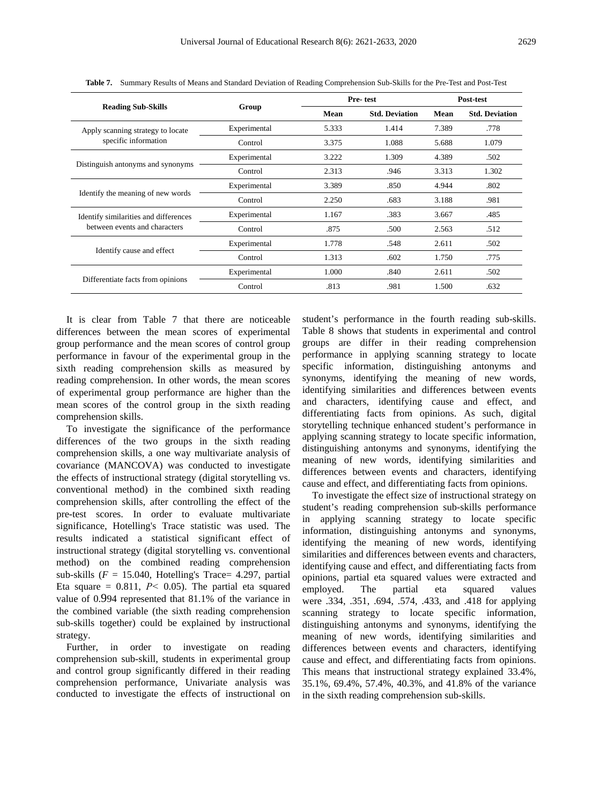| <b>Reading Sub-Skills</b>             | Group        |       | Pre-test              | Post-test |                       |  |
|---------------------------------------|--------------|-------|-----------------------|-----------|-----------------------|--|
|                                       |              | Mean  | <b>Std. Deviation</b> | Mean      | <b>Std. Deviation</b> |  |
| Apply scanning strategy to locate     | Experimental | 5.333 | 1.414                 | 7.389     | .778                  |  |
| specific information                  | Control      | 3.375 | 1.088                 | 5.688     | 1.079                 |  |
|                                       | Experimental | 3.222 | 1.309                 | 4.389     | .502                  |  |
| Distinguish antonyms and synonyms     | Control      | 2.313 | .946                  | 3.313     | 1.302                 |  |
|                                       | Experimental | 3.389 | .850                  | 4.944     | .802                  |  |
| Identify the meaning of new words     | Control      | 2.250 | .683                  | 3.188     | .981                  |  |
| Identify similarities and differences | Experimental | 1.167 | .383                  | 3.667     | .485                  |  |
| between events and characters         | Control      | .875  | .500                  | 2.563     | .512                  |  |
|                                       | Experimental | 1.778 | .548                  | 2.611     | .502                  |  |
| Identify cause and effect             | Control      | 1.313 | .602                  | 1.750     | .775                  |  |
|                                       | Experimental | 1.000 | .840                  | 2.611     | .502                  |  |
| Differentiate facts from opinions     | Control      | .813  | .981                  | 1.500     | .632                  |  |

**Table 7.** Summary Results of Means and Standard Deviation of Reading Comprehension Sub-Skills for the Pre-Test and Post-Test

It is clear from Table 7 that there are noticeable differences between the mean scores of experimental group performance and the mean scores of control group performance in favour of the experimental group in the sixth reading comprehension skills as measured by reading comprehension. In other words, the mean scores of experimental group performance are higher than the mean scores of the control group in the sixth reading comprehension skills.

To investigate the significance of the performance differences of the two groups in the sixth reading comprehension skills, a one way multivariate analysis of covariance (MANCOVA) was conducted to investigate the effects of instructional strategy (digital storytelling vs. conventional method) in the combined sixth reading comprehension skills, after controlling the effect of the pre-test scores. In order to evaluate multivariate significance, Hotelling's Trace statistic was used. The results indicated a statistical significant effect of instructional strategy (digital storytelling vs. conventional method) on the combined reading comprehension sub-skills  $(F = 15.040,$  Hotelling's Trace= 4.297, partial Eta square  $= 0.811$ ,  $P < 0.05$ ). The partial eta squared value of 0.994 represented that 81.1% of the variance in the combined variable (the sixth reading comprehension sub-skills together) could be explained by instructional strategy.

Further, in order to investigate on reading comprehension sub-skill, students in experimental group and control group significantly differed in their reading comprehension performance, Univariate analysis was conducted to investigate the effects of instructional on student's performance in the fourth reading sub-skills. Table 8 shows that students in experimental and control groups are differ in their reading comprehension performance in applying scanning strategy to locate specific information, distinguishing antonyms and synonyms, identifying the meaning of new words, identifying similarities and differences between events and characters, identifying cause and effect, and differentiating facts from opinions. As such, digital storytelling technique enhanced student's performance in applying scanning strategy to locate specific information, distinguishing antonyms and synonyms, identifying the meaning of new words, identifying similarities and differences between events and characters, identifying cause and effect, and differentiating facts from opinions.

To investigate the effect size of instructional strategy on student's reading comprehension sub-skills performance in applying scanning strategy to locate specific information, distinguishing antonyms and synonyms, identifying the meaning of new words, identifying similarities and differences between events and characters, identifying cause and effect, and differentiating facts from opinions, partial eta squared values were extracted and employed. The partial eta squared values were .334, .351, .694, .574, .433, and .418 for applying scanning strategy to locate specific information, distinguishing antonyms and synonyms, identifying the meaning of new words, identifying similarities and differences between events and characters, identifying cause and effect, and differentiating facts from opinions. This means that instructional strategy explained 33.4%, 35.1%, 69.4%, 57.4%, 40.3%, and 41.8% of the variance in the sixth reading comprehension sub-skills.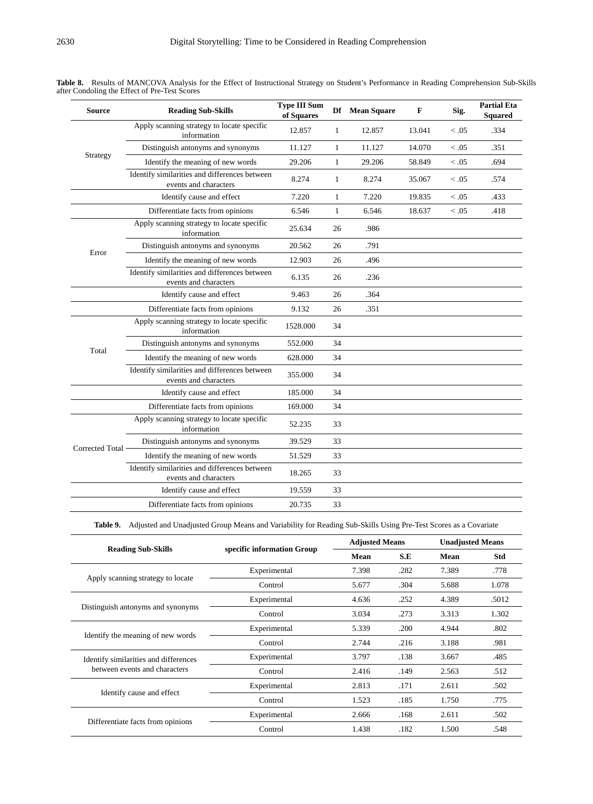| <b>Source</b>   | <b>Reading Sub-Skills</b>                                              | <b>Type III Sum</b><br>of Squares |              | Df Mean Square | $\mathbf F$ | Sig.       | <b>Partial Eta</b><br><b>Squared</b> |
|-----------------|------------------------------------------------------------------------|-----------------------------------|--------------|----------------|-------------|------------|--------------------------------------|
|                 | Apply scanning strategy to locate specific<br>information              | 12.857                            | $\mathbf{1}$ | 12.857         | 13.041      | < 0.05     | .334                                 |
|                 | Distinguish antonyms and synonyms                                      | 11.127                            | $\mathbf{1}$ | 11.127         | 14.070      | < 0.05     | .351                                 |
| Strategy        | Identify the meaning of new words                                      | 29.206                            | $\mathbf{1}$ | 29.206         | 58.849      | < 0.05     | .694                                 |
|                 | Identify similarities and differences between<br>events and characters | 8.274                             | $\mathbf{1}$ | 8.274          | 35.067      | $\leq .05$ | .574                                 |
|                 | Identify cause and effect                                              | 7.220                             | $\mathbf{1}$ | 7.220          | 19.835      | < 0.05     | .433                                 |
|                 | Differentiate facts from opinions                                      | 6.546                             | $\mathbf{1}$ | 6.546          | 18.637      | $\leq .05$ | .418                                 |
|                 | Apply scanning strategy to locate specific<br>information              | 25.634                            | 26           | .986           |             |            |                                      |
| Error           | Distinguish antonyms and synonyms                                      | 20.562                            | 26           | .791           |             |            |                                      |
|                 | Identify the meaning of new words                                      | 12.903                            | 26           | .496           |             |            |                                      |
|                 | Identify similarities and differences between<br>events and characters | 6.135                             | 26           | .236           |             |            |                                      |
|                 | Identify cause and effect                                              | 9.463                             | 26           | .364           |             |            |                                      |
|                 | Differentiate facts from opinions                                      | 9.132                             | 26           | .351           |             |            |                                      |
|                 | Apply scanning strategy to locate specific<br>information              | 1528.000                          | 34           |                |             |            |                                      |
| Total           | Distinguish antonyms and synonyms                                      | 552.000                           | 34           |                |             |            |                                      |
|                 | Identify the meaning of new words                                      | 628.000                           | 34           |                |             |            |                                      |
|                 | Identify similarities and differences between<br>events and characters | 355.000                           | 34           |                |             |            |                                      |
|                 | Identify cause and effect                                              | 185.000                           | 34           |                |             |            |                                      |
|                 | Differentiate facts from opinions                                      | 169.000                           | 34           |                |             |            |                                      |
|                 | Apply scanning strategy to locate specific<br>information              | 52.235                            | 33           |                |             |            |                                      |
| Corrected Total | Distinguish antonyms and synonyms                                      | 39.529                            | 33           |                |             |            |                                      |
|                 | Identify the meaning of new words                                      | 51.529                            | 33           |                |             |            |                                      |
|                 | Identify similarities and differences between<br>events and characters | 18.265                            | 33           |                |             |            |                                      |
|                 | Identify cause and effect                                              | 19.559                            | 33           |                |             |            |                                      |
|                 | Differentiate facts from opinions                                      | 20.735                            | 33           |                |             |            |                                      |

**Table 8.** Results of MANCOVA Analysis for the Effect of Instructional Strategy on Student's Performance in Reading Comprehension Sub-Skills after Condoling the Effect of Pre-Test Scores

**Table 9.** Adjusted and Unadjusted Group Means and Variability for Reading Sub-Skills Using Pre-Test Scores as a Covariate

|                                       |                            |       | <b>Adjusted Means</b> |       | <b>Unadjusted Means</b> |  |
|---------------------------------------|----------------------------|-------|-----------------------|-------|-------------------------|--|
| <b>Reading Sub-Skills</b>             | specific information Group | Mean  | S.E                   | Mean  | <b>Std</b>              |  |
|                                       | Experimental               | 7.398 | .282                  | 7.389 | .778                    |  |
| Apply scanning strategy to locate     | Control                    | 5.677 | .304                  | 5.688 | 1.078                   |  |
|                                       | Experimental               | 4.636 | .252                  | 4.389 | .5012                   |  |
| Distinguish antonyms and synonyms     | Control                    | 3.034 | .273                  | 3.313 | 1.302                   |  |
|                                       | Experimental               | 5.339 | .200                  | 4.944 | .802                    |  |
| Identify the meaning of new words     | Control                    | 2.744 | .216                  | 3.188 | .981                    |  |
| Identify similarities and differences | Experimental               | 3.797 | .138                  | 3.667 | .485                    |  |
| between events and characters         | Control                    | 2.416 | .149                  | 2.563 | .512                    |  |
|                                       | Experimental               | 2.813 | .171                  | 2.611 | .502                    |  |
| Identify cause and effect             | Control                    | 1.523 | .185                  | 1.750 | .775                    |  |
|                                       | Experimental               | 2.666 | .168                  | 2.611 | .502                    |  |
| Differentiate facts from opinions     | Control                    | 1.438 | .182                  | 1.500 | .548                    |  |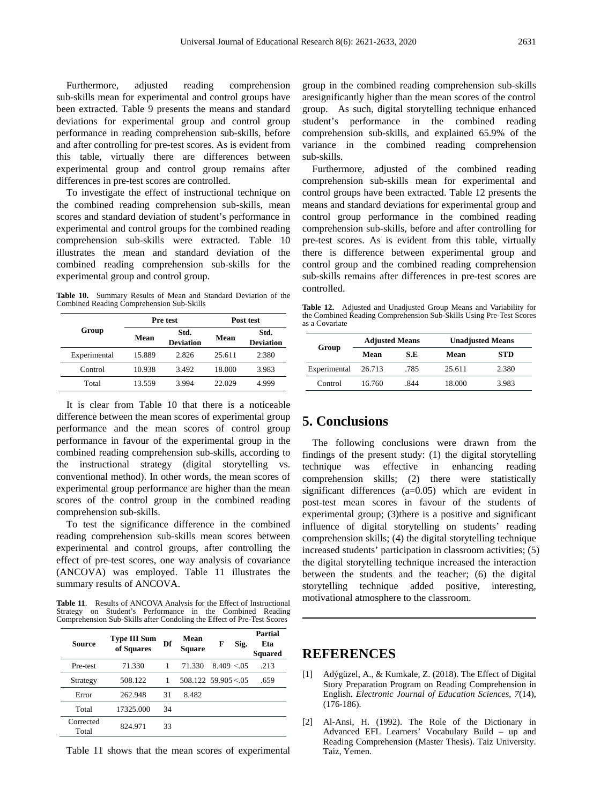Furthermore, adjusted reading comprehension sub-skills mean for experimental and control groups have been extracted. Table 9 presents the means and standard deviations for experimental group and control group performance in reading comprehension sub-skills, before and after controlling for pre-test scores. As is evident from this table, virtually there are differences between experimental group and control group remains after differences in pre-test scores are controlled.

To investigate the effect of instructional technique on the combined reading comprehension sub-skills, mean scores and standard deviation of student's performance in experimental and control groups for the combined reading comprehension sub-skills were extracted. Table 10 illustrates the mean and standard deviation of the combined reading comprehension sub-skills for the experimental group and control group.

**Table 10.** Summary Results of Mean and Standard Deviation of the Combined Reading Comprehension Sub-Skills

|              |        | Pre test                 | Post test |                          |  |
|--------------|--------|--------------------------|-----------|--------------------------|--|
| Group        | Mean   | Std.<br><b>Deviation</b> | Mean      | Std.<br><b>Deviation</b> |  |
| Experimental | 15.889 | 2.826                    | 25.611    | 2.380                    |  |
| Control      | 10.938 | 3.492                    | 18.000    | 3.983                    |  |
| Total        | 13.559 | 3.994                    | 22.029    | 4.999                    |  |

It is clear from Table 10 that there is a noticeable difference between the mean scores of experimental group performance and the mean scores of control group performance in favour of the experimental group in the combined reading comprehension sub-skills, according to the instructional strategy (digital storytelling vs. conventional method). In other words, the mean scores of experimental group performance are higher than the mean scores of the control group in the combined reading comprehension sub-skills.

To test the significance difference in the combined reading comprehension sub-skills mean scores between experimental and control groups, after controlling the effect of pre-test scores, one way analysis of covariance (ANCOVA) was employed. Table 11 illustrates the summary results of ANCOVA.

**Table 11**. Results of ANCOVA Analysis for the Effect of Instructional Strategy on Student's Performance in the Combined Reading Comprehension Sub-Skills after Condoling the Effect of Pre-Test Scores

| Source             | Type III Sum<br>of Squares | Df | Mean<br><b>Square</b> | F                | Sig. | Partial<br>Eta<br><b>Squared</b> |
|--------------------|----------------------------|----|-----------------------|------------------|------|----------------------------------|
| Pre-test           | 71.330                     |    | 71.330                | $8.409 \le 0.05$ |      | -213                             |
| Strategy           | 508.122                    |    | $508.122$ 59.905 < 05 |                  |      | .659                             |
| Error              | 262.948                    | 31 | 8.482                 |                  |      |                                  |
| Total              | 17325.000                  | 34 |                       |                  |      |                                  |
| Corrected<br>Total | 824.971                    | 33 |                       |                  |      |                                  |

Table 11 shows that the mean scores of experimental

group in the combined reading comprehension sub-skills aresignificantly higher than the mean scores of the control group. As such, digital storytelling technique enhanced student's performance in the combined reading comprehension sub-skills, and explained 65.9% of the variance in the combined reading comprehension sub-skills.

Furthermore, adjusted of the combined reading comprehension sub-skills mean for experimental and control groups have been extracted. Table 12 presents the means and standard deviations for experimental group and control group performance in the combined reading comprehension sub-skills, before and after controlling for pre-test scores. As is evident from this table, virtually there is difference between experimental group and control group and the combined reading comprehension sub-skills remains after differences in pre-test scores are controlled.

**Table 12.** Adjusted and Unadjusted Group Means and Variability for the Combined Reading Comprehension Sub-Skills Using Pre-Test Scores as a Covariate

| Group        | <b>Adjusted Means</b> |      | <b>Unadjusted Means</b> |            |
|--------------|-----------------------|------|-------------------------|------------|
|              | Mean                  | S.E  | Mean                    | <b>STD</b> |
| Experimental | 26.713                | .785 | 25.611                  | 2.380      |
| Control      | 16.760                | -844 | 18.000                  | 3.983      |

# **5. Conclusions**

The following conclusions were drawn from the findings of the present study: (1) the digital storytelling technique was effective in enhancing reading comprehension skills; (2) there were statistically significant differences (a=0.05) which are evident in post-test mean scores in favour of the students of experimental group; (3)there is a positive and significant influence of digital storytelling on students' reading comprehension skills; (4) the digital storytelling technique increased students' participation in classroom activities; (5) the digital storytelling technique increased the interaction between the students and the teacher; (6) the digital storytelling technique added positive, interesting, motivational atmosphere to the classroom.

# **REFERENCES**

- [1] Adýgüzel, A., & Kumkale, Z. (2018). The Effect of Digital Story Preparation Program on Reading Comprehension in English. *Electronic Journal of Education Sciences*, *7*(14), (176-186).
- [2] Al-Ansi, H. (1992). The Role of the Dictionary in Advanced EFL Learners' Vocabulary Build – up and Reading Comprehension (Master Thesis). Taiz University. Taiz, Yemen.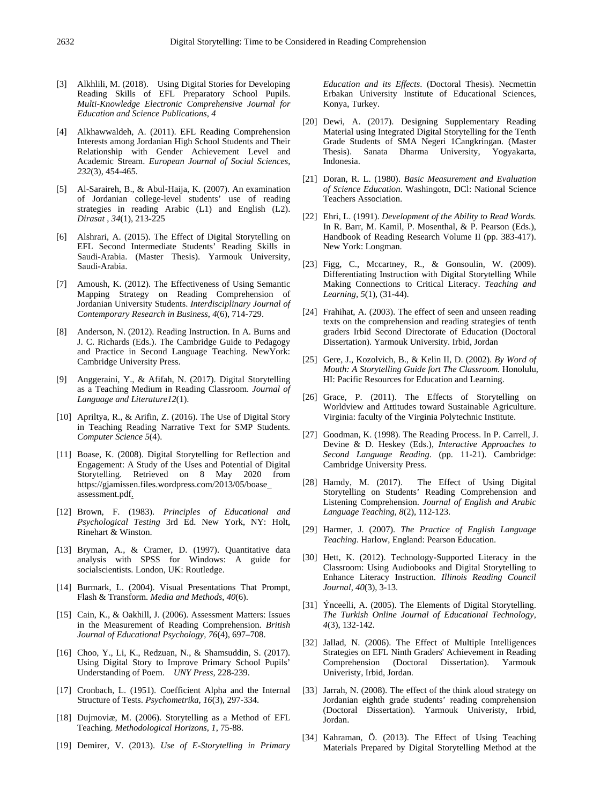- [3] Alkhlili, M. (2018). Using Digital Stories for Developing Reading Skills of EFL Preparatory School Pupils. *Multi-Knowledge Electronic Comprehensive Journal for Education and Science Publications, 4*
- [4] Alkhawwaldeh, A. (2011). EFL Reading Comprehension Interests among Jordanian High School Students and Their Relationship with Gender Achievement Level and Academic Stream. *European Journal of Social Sciences*, *232*(3), 454-465.
- [5] Al-Saraireh, B., & Abul-Haija, K. (2007). An examination of Jordanian college-level students' use of reading strategies in reading Arabic (L1) and English (L2). *Dirasat* , *34*(1), 213-225
- [6] Alshrari, A. (2015). The Effect of Digital Storytelling on EFL Second Intermediate Students' Reading Skills in Saudi-Arabia. (Master Thesis). Yarmouk University, Saudi-Arabia.
- [7] Amoush, K. (2012). The Effectiveness of Using Semantic Mapping Strategy on Reading Comprehension of Jordanian University Students. *Interdisciplinary Journal of Contemporary Research in Business*, *4*(6), 714-729.
- [8] Anderson, N. (2012). Reading Instruction. In A. Burns and J. C. Richards (Eds.). The Cambridge Guide to Pedagogy and Practice in Second Language Teaching. NewYork: Cambridge University Press.
- [9] Anggeraini, Y., & Afifah, N. (2017). Digital Storytelling as a Teaching Medium in Reading Classroom. *Journal of Language and Literature12*(1).
- [10] Apriltya, R., & Arifin, Z. (2016). The Use of Digital Story in Teaching Reading Narrative Text for SMP Students*. Computer Science 5*(4).
- [11] Boase, K. (2008). Digital Storytelling for Reflection and Engagement: A Study of the Uses and Potential of Digital Storytelling. Retrieved on 8 May 2020 from https://gjamissen.files.wordpress.com/2013/05/boase\_ assessment.pdf.
- [12] Brown, F. (1983). *Principles of Educational and Psychological Testing* 3rd Ed. New York, NY: Holt, Rinehart & Winston.
- [13] Bryman, A., & Cramer, D. (1997). Quantitative data analysis with SPSS for Windows: A guide for socialscientists. London, UK: Routledge.
- [14] Burmark, L. (2004). Visual Presentations That Prompt, Flash & Transform. *Media and Methods*, *40*(6).
- [15] Cain, K., & Oakhill, J. (2006). Assessment Matters: Issues in the Measurement of Reading Comprehension. *British Journal of Educational Psychology, 76*(4), 697–708.
- [16] Choo, Y., Li, K., Redzuan, N., & Shamsuddin, S. (2017). Using Digital Story to Improve Primary School Pupils' Understanding of Poem. *UNY Press,* 228-239.
- [17] Cronbach, L. (1951). Coefficient Alpha and the Internal Structure of Tests. *Psychometrika, 16*(3), 297-334.
- [18] Dujmoviæ, M. (2006). Storytelling as a Method of EFL Teaching. *Methodological Horizons*, *1*, 75-88.
- [19] Demirer, V. (2013). *Use of E-Storytelling in Primary*

*Education and its Effects*. (Doctoral Thesis). Necmettin Erbakan University Institute of Educational Sciences, Konya, Turkey.

- [20] Dewi, A. (2017). Designing Supplementary Reading Material using Integrated Digital Storytelling for the Tenth Grade Students of SMA Negeri 1Cangkringan. (Master Thesis). Sanata Dharma University, Yogyakarta, Indonesia.
- [21] Doran, R. L. (1980). *Basic Measurement and Evaluation of Science Education*. Washingotn, DCl: National Science Teachers Association.
- [22] Ehri, L. (1991). *Development of the Ability to Read Words.*  In R. Barr, M. Kamil, P. Mosenthal, & P. Pearson (Eds.), Handbook of Reading Research Volume II (pp. 383-417). New York: Longman.
- [23] Figg, C., Mccartney, R., & Gonsoulin, W. (2009). Differentiating Instruction with Digital Storytelling While Making Connections to Critical Literacy. *Teaching and Learning, 5*(1), (31-44).
- [24] Frahihat, A. (2003). The effect of seen and unseen reading texts on the comprehension and reading strategies of tenth graders Irbid Second Directorate of Education (Doctoral Dissertation). Yarmouk University. Irbid, Jordan
- [25] Gere, J., Kozolvich, B., & Kelin II, D. (2002). *By Word of Mouth: A Storytelling Guide fort The Classroom.* Honolulu, HI: Pacific Resources for Education and Learning.
- [26] Grace, P. (2011). The Effects of Storytelling on Worldview and Attitudes toward Sustainable Agriculture. Virginia: faculty of the Virginia Polytechnic Institute.
- [27] Goodman, K. (1998). The Reading Process. In P. Carrell, J. Devine & D. Heskey (Eds.), *Interactive Approaches to Second Language Reading*. (pp. 11-21). Cambridge: Cambridge University Press.
- [28] Hamdy, M. (2017). The Effect of Using Digital Storytelling on Students' Reading Comprehension and Listening Comprehension. *Journal of English and Arabic Language Teaching, 8*(2), 112-123.
- [29] Harmer, J. (2007). *The Practice of English Language Teaching*. Harlow, England: Pearson Education.
- [30] Hett, K. (2012). Technology-Supported Literacy in the Classroom: Using Audiobooks and Digital Storytelling to Enhance Literacy Instruction. *Illinois Reading Council Journal*, *40*(3), 3-13.
- [31] Ýnceelli, A. (2005). The Elements of Digital Storytelling. *The Turkish Online Journal of Educational Technology, 4*(3), 132-142.
- [32] Jallad, N. (2006). The Effect of Multiple Intelligences Strategies on EFL Ninth Graders' Achievement in Reading Comprehension (Doctoral Dissertation). Yarmouk Univeristy, Irbid, Jordan.
- [33] Jarrah, N. (2008). The effect of the think aloud strategy on Jordanian eighth grade students' reading comprehension (Doctoral Dissertation). Yarmouk Univeristy, Irbid, Jordan.
- [34] Kahraman, Ö. (2013). The Effect of Using Teaching Materials Prepared by Digital Storytelling Method at the